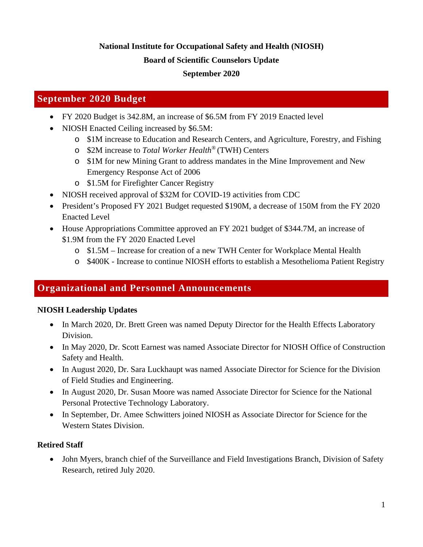# **National Institute for Occupational Safety and Health (NIOSH)**

#### **Board of Scientific Counselors Update**

## **September 2020**

## **September 2020 Budget**

- FY 2020 Budget is 342.8M, an increase of \$6.5M from FY 2019 Enacted level
- NIOSH Enacted Ceiling increased by \$6.5M:
	- o \$1M increase to Education and Research Centers, and Agriculture, Forestry, and Fishing
	- o \$2M increase to *Total Worker Health®* (TWH) Centers
	- o \$1M for new Mining Grant to address mandates in the Mine Improvement and New Emergency Response Act of 2006
	- o \$1.5M for Firefighter Cancer Registry
- NIOSH received approval of \$32M for COVID-19 activities from CDC
- President's Proposed FY 2021 Budget requested \$190M, a decrease of 150M from the FY 2020 Enacted Level
- House Appropriations Committee approved an FY 2021 budget of \$344.7M, an increase of \$1.9M from the FY 2020 Enacted Level
	- o \$1.5M Increase for creation of a new TWH Center for Workplace Mental Health
	- o \$400K Increase to continue NIOSH efforts to establish a Mesothelioma Patient Registry

## **Organizational and Personnel Announcements**

## **NIOSH Leadership Updates**

- In March 2020, Dr. Brett Green was named Deputy Director for the Health Effects Laboratory Division.
- In May 2020, Dr. Scott Earnest was named Associate Director for NIOSH Office of Construction Safety and Health.
- In August 2020, Dr. Sara Luckhaupt was named Associate Director for Science for the Division of Field Studies and Engineering.
- In August 2020, Dr. Susan Moore was named Associate Director for Science for the National Personal Protective Technology Laboratory.
- In September, Dr. Amee Schwitters joined NIOSH as Associate Director for Science for the Western States Division.

## **Retired Staff**

• John Myers, branch chief of the Surveillance and Field Investigations Branch, Division of Safety Research, retired July 2020.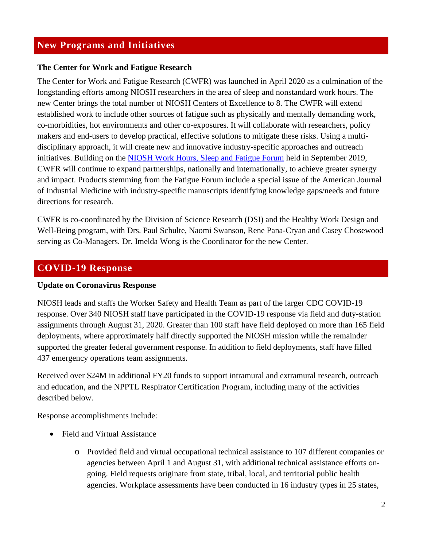## **New Programs and Initiatives**

#### **The Center for Work and Fatigue Research**

The Center for Work and Fatigue Research (CWFR) was launched in April 2020 as a culmination of the longstanding efforts among NIOSH researchers in the area of sleep and nonstandard work hours. The new Center brings the total number of NIOSH Centers of Excellence to 8. The CWFR will extend established work to include other sources of fatigue such as physically and mentally demanding work, co-morbidities, hot environments and other co-exposures. It will collaborate with researchers, policy makers and end-users to develop practical, effective solutions to mitigate these risks. Using a multidisciplinary approach, it will create new and innovative industry-specific approaches and outreach initiatives. Building on the [NIOSH Work Hours, Sleep and Fatigue Forum](https://www.cdc.gov/niosh/topics/workschedules/fatigue2019.html) held in September 2019, CWFR will continue to expand partnerships, nationally and internationally, to achieve greater synergy and impact. Products stemming from the Fatigue Forum include a special issue of the American Journal of Industrial Medicine with industry-specific manuscripts identifying knowledge gaps/needs and future directions for research.

CWFR is co-coordinated by the Division of Science Research (DSI) and the Healthy Work Design and Well-Being program, with Drs. Paul Schulte, Naomi Swanson, Rene Pana-Cryan and Casey Chosewood serving as Co-Managers. Dr. Imelda Wong is the Coordinator for the new Center.

## **COVID-19 Response**

#### **Update on Coronavirus Response**

NIOSH leads and staffs the Worker Safety and Health Team as part of the larger CDC COVID-19 response. Over 340 NIOSH staff have participated in the COVID-19 response via field and duty-station assignments through August 31, 2020. Greater than 100 staff have field deployed on more than 165 field deployments, where approximately half directly supported the NIOSH mission while the remainder supported the greater federal government response. In addition to field deployments, staff have filled 437 emergency operations team assignments.

Received over \$24M in additional FY20 funds to support intramural and extramural research, outreach and education, and the NPPTL Respirator Certification Program, including many of the activities described below.

Response accomplishments include:

- Field and Virtual Assistance
	- o Provided field and virtual occupational technical assistance to 107 different companies or agencies between April 1 and August 31, with additional technical assistance efforts ongoing. Field requests originate from state, tribal, local, and territorial public health agencies. Workplace assessments have been conducted in 16 industry types in 25 states,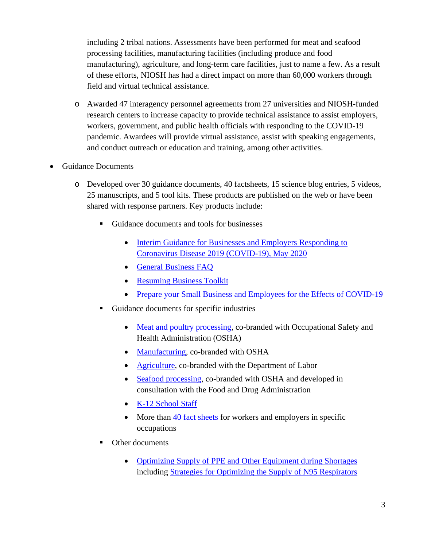including 2 tribal nations. Assessments have been performed for meat and seafood processing facilities, manufacturing facilities (including produce and food manufacturing), agriculture, and long-term care facilities, just to name a few. As a result of these efforts, NIOSH has had a direct impact on more than 60,000 workers through field and virtual technical assistance.

- o Awarded 47 interagency personnel agreements from 27 universities and NIOSH-funded research centers to increase capacity to provide technical assistance to assist employers, workers, government, and public health officials with responding to the COVID-19 pandemic. Awardees will provide virtual assistance, assist with speaking engagements, and conduct outreach or education and training, among other activities.
- Guidance Documents
	- o Developed over 30 guidance documents, 40 factsheets, 15 science blog entries, 5 videos, 25 manuscripts, and 5 tool kits. These products are published on the web or have been shared with response partners. Key products include:
		- Guidance documents and tools for businesses
			- Interim Guidance for Businesses and Employers Responding to [Coronavirus Disease 2019 \(COVID-19\), May 2020](https://www.cdc.gov/coronavirus/2019-ncov/community/guidance-business-response.html)
			- [General Business FAQ](https://www.cdc.gov/coronavirus/2019-ncov/community/general-business-faq.html)
			- [Resuming Business Toolkit](https://www.cdc.gov/coronavirus/2019-ncov/community/resuming-business-toolkit.html)
			- [Prepare your Small Business and Employees for the Effects of COVID-19](https://www.cdc.gov/coronavirus/2019-ncov/community/guidance-small-business.html)
		- Guidance documents for specific industries
			- [Meat and poultry processing,](https://www.cdc.gov/coronavirus/2019-ncov/community/organizations/meat-poultry-processing-workers-employers.html) co-branded with Occupational Safety and Health Administration (OSHA)
			- [Manufacturing,](https://www.cdc.gov/coronavirus/2019-ncov/community/guidance-manufacturing-workers-employers.html) co-branded with OSHA
			- [Agriculture,](https://www.cdc.gov/coronavirus/2019-ncov/community/guidance-agricultural-workers.html) co-branded with the Department of Labor
			- [Seafood processing,](https://www.cdc.gov/coronavirus/2019-ncov/community/guidance-seafood-processing.html) co-branded with OSHA and developed in consultation with the Food and Drug Administration
			- [K-12 School Staff](https://www.cdc.gov/coronavirus/2019-ncov/community/schools-childcare/k-12-staff.html)
			- More than [40 fact sheets](https://www.cdc.gov/coronavirus/2019-ncov/community/worker-safety-support/index.html) for workers and employers in specific occupations
		- Other documents
			- [Optimizing Supply of PPE and Other Equipment during Shortages](https://www.cdc.gov/coronavirus/2019-ncov/hcp/ppe-strategy/index.html) including [Strategies for Optimizing the Supply of N95 Respirators](https://www.cdc.gov/coronavirus/2019-ncov/hcp/respirators-strategy/index.html)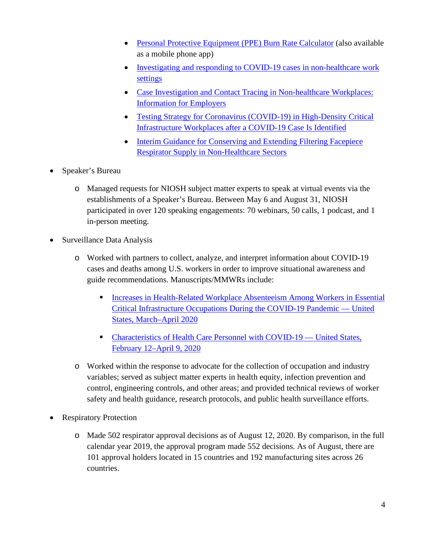- [Personal Protective Equipment \(PPE\) Burn Rate Calculator](https://www.cdc.gov/coronavirus/2019-ncov/hcp/ppe-strategy/burn-calculator.html) (also available as a mobile phone app)
- Investigating and responding to COVID-19 cases in non-healthcare work [settings](https://www.cdc.gov/coronavirus/2019-ncov/php/open-america/non-healthcare-work-settings.html)
- Case Investigation and Contact Tracing in Non-healthcare Workplaces: [Information for Employers](https://www.cdc.gov/coronavirus/2019-ncov/community/contact-tracing-nonhealthcare-workplaces.html)
- Testing Strategy for Coronavirus (COVID-19) in High-Density Critical [Infrastructure Workplaces after a COVID-19 Case Is Identified](https://www.cdc.gov/coronavirus/2019-ncov/community/worker-safety-support/hd-testing.html)
- Interim Guidance for Conserving and Extending Filtering Facepiece [Respirator Supply in Non-Healthcare Sectors](https://www.cdc.gov/coronavirus/2019-ncov/community/conserving-respirator-supply.html)
- Speaker's Bureau
	- o Managed requests for NIOSH subject matter experts to speak at virtual events via the establishments of a Speaker's Bureau. Between May 6 and August 31, NIOSH participated in over 120 speaking engagements: 70 webinars, 50 calls, 1 podcast, and 1 in-person meeting.
- Surveillance Data Analysis
	- o Worked with partners to collect, analyze, and interpret information about COVID-19 cases and deaths among U.S. workers in order to improve situational awareness and guide recommendations. Manuscripts/MMWRs include:
		- Increases in Health-Related Workplace Absenteeism Among Workers in Essential [Critical Infrastructure Occupations During the COVID-19 Pandemic —](https://www.cdc.gov/mmwr/volumes/69/wr/mm6927a1.htm?s_cid=mm6927a1_w) United [States, March–April 2020](https://www.cdc.gov/mmwr/volumes/69/wr/mm6927a1.htm?s_cid=mm6927a1_w)
		- [Characteristics of Health Care Personnel with COVID-19 —](https://www.cdc.gov/mmwr/volumes/69/wr/mm6915e6.htm?s_cid=mm6915e6_w) United States, [February 12–April 9, 2020](https://www.cdc.gov/mmwr/volumes/69/wr/mm6915e6.htm?s_cid=mm6915e6_w)
	- o Worked within the response to advocate for the collection of occupation and industry variables; served as subject matter experts in health equity, infection prevention and control, engineering controls, and other areas; and provided technical reviews of worker safety and health guidance, research protocols, and public health surveillance efforts.
- **Respiratory Protection** 
	- o Made 502 respirator approval decisions as of August 12, 2020. By comparison, in the full calendar year 2019, the approval program made 552 decisions. As of August, there are 101 approval holders located in 15 countries and 192 manufacturing sites across 26 countries.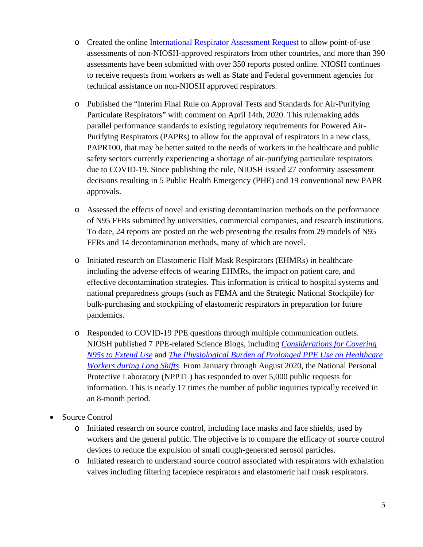- o Created the online [International Respirator Assessment Request](https://www.cdc.gov/niosh/npptl/respirators/testing/NonNIOSH.html) to allow point-of-use assessments of non-NIOSH-approved respirators from other countries, and more than 390 assessments have been submitted with over 350 reports posted online. NIOSH continues to receive requests from workers as well as State and Federal government agencies for technical assistance on non-NIOSH approved respirators.
- o Published the "Interim Final Rule on Approval Tests and Standards for Air-Purifying Particulate Respirators" with comment on April 14th, 2020. This rulemaking adds parallel performance standards to existing regulatory requirements for Powered Air-Purifying Respirators (PAPRs) to allow for the approval of respirators in a new class, PAPR100, that may be better suited to the needs of workers in the healthcare and public safety sectors currently experiencing a shortage of air-purifying particulate respirators due to COVID-19. Since publishing the rule, NIOSH issued 27 conformity assessment decisions resulting in 5 Public Health Emergency (PHE) and 19 conventional new PAPR approvals.
- o Assessed the effects of novel and existing decontamination methods on the performance of N95 FFRs submitted by universities, commercial companies, and research institutions. To date, 24 reports are posted on the web presenting the results from 29 models of N95 FFRs and 14 decontamination methods, many of which are novel.
- o Initiated research on Elastomeric Half Mask Respirators (EHMRs) in healthcare including the adverse effects of wearing EHMRs, the impact on patient care, and effective decontamination strategies. This information is critical to hospital systems and national preparedness groups (such as FEMA and the Strategic National Stockpile) for bulk-purchasing and stockpiling of elastomeric respirators in preparation for future pandemics.
- o Responded to COVID-19 PPE questions through multiple communication outlets. NIOSH published 7 PPE-related Science Blogs, including *[Considerations for Covering](https://blogs.cdc.gov/niosh-science-blog/2020/06/16/covering-n95s/)  [N95s to Extend Use](https://blogs.cdc.gov/niosh-science-blog/2020/06/16/covering-n95s/)* and *[The Physiological Burden of Prolonged PPE Use on Healthcare](https://blogs.cdc.gov/niosh-science-blog/2020/06/10/ppe-burden/)  [Workers during Long Shifts](https://blogs.cdc.gov/niosh-science-blog/2020/06/10/ppe-burden/)*. From January through August 2020, the National Personal Protective Laboratory (NPPTL) has responded to over 5,000 public requests for information. This is nearly 17 times the number of public inquiries typically received in an 8-month period.
- Source Control
	- o Initiated research on source control, including face masks and face shields, used by workers and the general public. The objective is to compare the efficacy of source control devices to reduce the expulsion of small cough-generated aerosol particles.
	- o Initiated research to understand source control associated with respirators with exhalation valves including filtering facepiece respirators and elastomeric half mask respirators.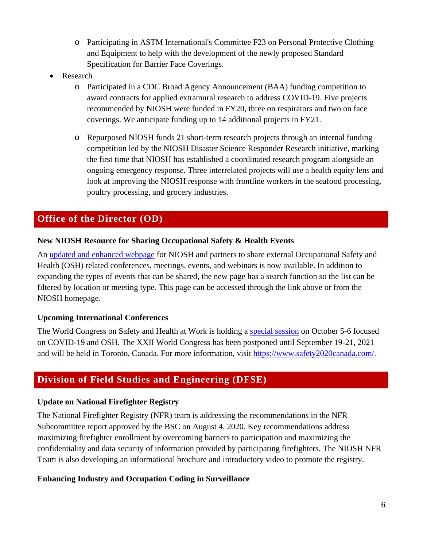- o Participating in ASTM International's Committee F23 on Personal Protective Clothing and Equipment to help with the development of the newly proposed Standard Specification for Barrier Face Coverings.
- **Research** 
	- o Participated in a CDC Broad Agency Announcement (BAA) funding competition to award contracts for applied extramural research to address COVID-19. Five projects recommended by NIOSH were funded in FY20, three on respirators and two on face coverings. We anticipate funding up to 14 additional projects in FY21.
	- o Repurposed NIOSH funds 21 short-term research projects through an internal funding competition led by the NIOSH Disaster Science Responder Research initiative, marking the first time that NIOSH has established a coordinated research program alongside an ongoing emergency response. Three interrelated projects will use a health equity lens and look at improving the NIOSH response with frontline workers in the seafood processing, poultry processing, and grocery industries.

# **Office of the Director (OD)**

#### **New NIOSH Resource for Sharing Occupational Safety & Health Events**

An [updated and enhanced webpage](https://www.cdc.gov/niosh/conferences/default.html?Sort=Start%20Date%3A%3Aasc) for NIOSH and partners to share external Occupational Safety and Health (OSH) related conferences, meetings, events, and webinars is now available. In addition to expanding the types of events that can be shared, the new page has a search function so the list can be filtered by location or meeting type. This page can be accessed through the link above or from the [NIOSH homepage.](https://www.cdc.gov/niosh/index.htm)

#### **Upcoming International Conferences**

The World Congress on Safety and Health at Work is holding a [special session](https://www.safety2021canada.com/specialsession/) on October 5-6 focused on COVID-19 and OSH. The XXII World Congress has been postponed until September 19-21, 2021 and will be held in Toronto, Canada. For more information, visit [https://www.safety2020canada.com/.](https://www.safety2020canada.com/)

# **Division of Field Studies and Engineering (DFSE)**

## **Update on National Firefighter Registry**

The National Firefighter Registry (NFR) team is addressing the recommendations in the NFR Subcommittee report approved by the BSC on August 4, 2020. Key recommendations address maximizing firefighter enrollment by overcoming barriers to participation and maximizing the confidentiality and data security of information provided by participating firefighters. The NIOSH NFR Team is also developing an informational brochure and introductory video to promote the registry.

## **Enhancing Industry and Occupation Coding in Surveillance**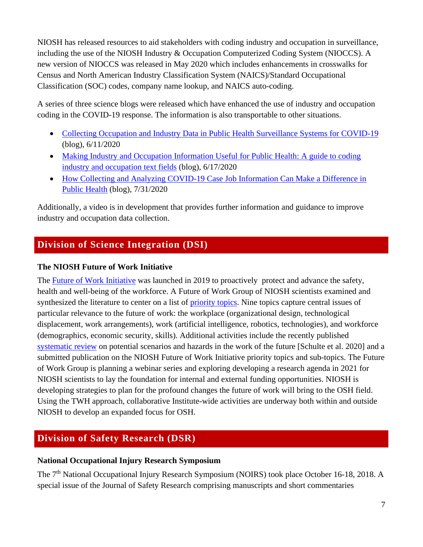NIOSH has released resources to aid stakeholders with coding industry and occupation in surveillance, including the use of the NIOSH Industry & Occupation Computerized Coding System (NIOCCS). A new version of NIOCCS was released in May 2020 which includes enhancements in crosswalks for Census and North American Industry Classification System (NAICS)/Standard Occupational Classification (SOC) codes, company name lookup, and NAICS auto-coding.

A series of three science blogs were released which have enhanced the use of industry and occupation coding in the COVID-19 response. The information is also transportable to other situations.

- [Collecting Occupation and Industry Data in Public Health Surveillance Systems for COVID-19](https://www.cdc.gov/niosh/topics/coding/default.html) (blog), 6/11/2020
- Making Industry and Occupation Information Useful for Public Health: A guide to coding [industry and occupation text fields](https://blogs.cdc.gov/niosh-science-blog/2020/06/17/industry-occup-coding/) (blog), 6/17/2020
- [How Collecting and Analyzing COVID-19 Case Job Information Can Make a Difference in](https://blogs.cdc.gov/niosh-science-blog/2020/07/31/covid-work-data/)  [Public Health](https://blogs.cdc.gov/niosh-science-blog/2020/07/31/covid-work-data/) (blog), 7/31/2020

Additionally, a video is in development that provides further information and guidance to improve industry and occupation data collection.

# **Division of Science Integration (DSI)**

## **The NIOSH Future of Work Initiative**

The **Future of Work Initiative** was launched in 2019 to proactively protect and advance the safety, health and well-being of the workforce. A Future of Work Group of NIOSH scientists examined and synthesized the literature to center on a list of [priority topics.](https://www.cdc.gov/niosh/topics/future-of-work/issues.html) Nine topics capture central issues of particular relevance to the future of work: the workplace (organizational design, technological displacement, work arrangements), work (artificial intelligence, robotics, technologies), and workforce (demographics, economic security, skills). Additional activities include the recently published [systematic review](https://doi.org/10.1093/annweh/wxaa051) on potential scenarios and hazards in the work of the future [Schulte et al. 2020] and a submitted publication on the NIOSH Future of Work Initiative priority topics and sub-topics. The Future of Work Group is planning a webinar series and exploring developing a research agenda in 2021 for NIOSH scientists to lay the foundation for internal and external funding opportunities. NIOSH is developing strategies to plan for the profound changes the future of work will bring to the OSH field. Using the TWH approach, collaborative Institute-wide activities are underway both within and outside NIOSH to develop an expanded focus for OSH.

# **Division of Safety Research (DSR)**

## **National Occupational Injury Research Symposium**

The 7<sup>th</sup> National Occupational Injury Research Symposium (NOIRS) took place October 16-18, 2018. A special issue of the Journal of Safety Research comprising manuscripts and short commentaries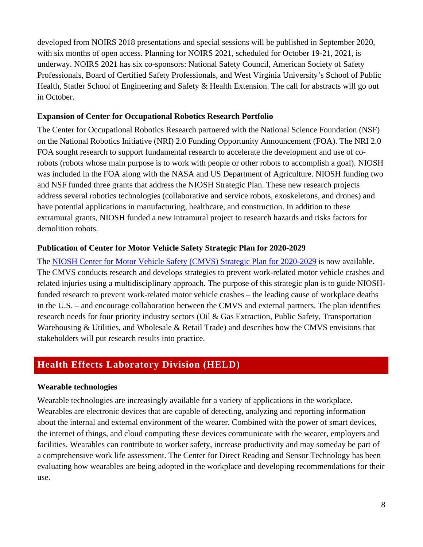developed from NOIRS 2018 presentations and special sessions will be published in September 2020, with six months of open access. Planning for NOIRS 2021, scheduled for October 19-21, 2021, is underway. NOIRS 2021 has six co-sponsors: National Safety Council, American Society of Safety Professionals, Board of Certified Safety Professionals, and West Virginia University's School of Public Health, Statler School of Engineering and Safety & Health Extension. The call for abstracts will go out in October.

#### **Expansion of Center for Occupational Robotics Research Portfolio**

The Center for Occupational Robotics Research partnered with the National Science Foundation (NSF) on the National Robotics Initiative (NRI) 2.0 Funding Opportunity Announcement (FOA). The NRI 2.0 FOA sought research to support fundamental research to accelerate the development and use of corobots (robots whose main purpose is to work with people or other robots to accomplish a goal). NIOSH was included in the FOA along with the NASA and US Department of Agriculture. NIOSH funding two and NSF funded three grants that address the NIOSH Strategic Plan. These new research projects address several robotics technologies (collaborative and service robots, exoskeletons, and drones) and have potential applications in manufacturing, healthcare, and construction. In addition to these extramural grants, NIOSH funded a new intramural project to research hazards and risks factors for demolition robots.

#### **Publication of Center for Motor Vehicle Safety Strategic Plan for 2020-2029**

The [NIOSH Center for Motor Vehicle Safety \(CMVS\) Strategic Plan for 2020-2029](https://www.cdc.gov/niosh/docs/2020-126/default.html) is now available. The CMVS conducts research and develops strategies to prevent work-related motor vehicle crashes and related injuries using a multidisciplinary approach. The purpose of this strategic plan is to guide NIOSHfunded research to prevent work-related motor vehicle crashes – the leading cause of workplace deaths in the U.S. – and encourage collaboration between the CMVS and external partners. The plan identifies research needs for four priority industry sectors (Oil & Gas Extraction, Public Safety, Transportation Warehousing & Utilities, and Wholesale & Retail Trade) and describes how the CMVS envisions that stakeholders will put research results into practice.

## **Health Effects Laboratory Division (HELD)**

#### **Wearable technologies**

Wearable technologies are increasingly available for a variety of applications in the workplace. Wearables are electronic devices that are capable of detecting, analyzing and reporting information about the internal and external environment of the wearer. Combined with the power of smart devices, the internet of things, and cloud computing these devices communicate with the wearer, employers and facilities. Wearables can contribute to worker safety, increase productivity and may someday be part of a comprehensive work life assessment. The Center for Direct Reading and Sensor Technology has been evaluating how wearables are being adopted in the workplace and developing recommendations for their use.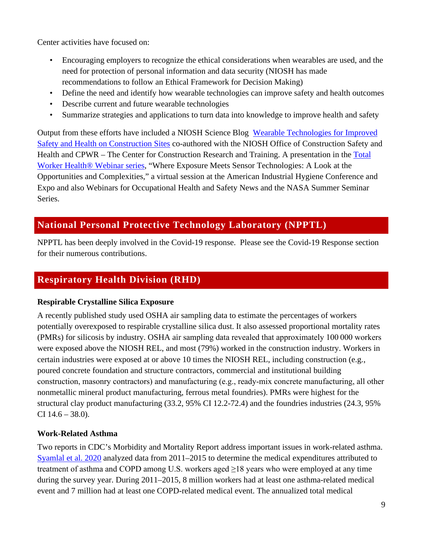Center activities have focused on:

- Encouraging employers to recognize the ethical considerations when wearables are used, and the need for protection of personal information and data security (NIOSH has made recommendations to follow an Ethical Framework for Decision Making)
- Define the need and identify how wearable technologies can improve safety and health outcomes
- Describe current and future wearable technologies
- Summarize strategies and applications to turn data into knowledge to improve health and safety

Output from these efforts have included a NIOSH Science Blog [Wearable Technologies for Improved](https://blogs.cdc.gov/niosh-science-blog/2019/11/18/wearables-construction/)  [Safety and Health on Construction Sites](https://blogs.cdc.gov/niosh-science-blog/2019/11/18/wearables-construction/) co-authored with the NIOSH Office of Construction Safety and Health and CPWR – The Center for Construction Research and Training. A presentation in the [Total](https://www.cdc.gov/niosh/twh/webinar.html)  [Worker Health® Webinar series,](https://www.cdc.gov/niosh/twh/webinar.html) "Where Exposure Meets Sensor Technologies: A Look at the Opportunities and Complexities," a virtual session at the American Industrial Hygiene Conference and Expo and also Webinars for Occupational Health and Safety News and the NASA Summer Seminar Series.

# **National Personal Protective Technology Laboratory (NPPTL)**

NPPTL has been deeply involved in the Covid-19 response. Please see the Covid-19 Response section for their numerous contributions.

# **Respiratory Health Division (RHD)**

## **Respirable Crystalline Silica Exposure**

A recently published study used OSHA air sampling data to estimate the percentages of workers potentially overexposed to respirable crystalline silica dust. It also assessed proportional mortality rates (PMRs) for silicosis by industry. OSHA air sampling data revealed that approximately 100 000 workers were exposed above the NIOSH REL, and most (79%) worked in the construction industry. Workers in certain industries were exposed at or above 10 times the NIOSH REL, including construction (e.g., poured concrete foundation and structure contractors, commercial and institutional building construction, masonry contractors) and manufacturing (e.g., ready‐mix concrete manufacturing, all other nonmetallic mineral product manufacturing, ferrous metal foundries). PMRs were highest for the structural clay product manufacturing (33.2, 95% CI 12.2-72.4) and the foundries industries (24.3, 95% CI  $14.6 - 38.0$ ).

## **Work-Related Asthma**

Two reports in CDC's Morbidity and Mortality Report address important issues in work-related asthma. [Syamlal et al. 2020](https://www.cdc.gov/mmwr/volumes/68/wr/mm6813a2.htm) analyzed data from 2011–2015 to determine the medical expenditures attributed to treatment of asthma and COPD among U.S. workers aged  $\geq$ 18 years who were employed at any time during the survey year. During 2011–2015, 8 million workers had at least one asthma-related medical event and 7 million had at least one COPD-related medical event. The annualized total medical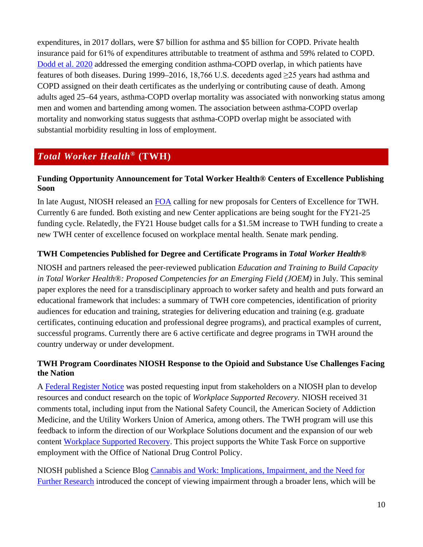expenditures, in 2017 dollars, were \$7 billion for asthma and \$5 billion for COPD. Private health insurance paid for 61% of expenditures attributable to treatment of asthma and 59% related to COPD. [Dodd et al. 2020](https://www.cdc.gov/mmwr/volumes/69/wr/mm6922a3.htm) addressed the emerging condition asthma-COPD overlap, in which patients have features of both diseases. During 1999–2016, 18,766 U.S. decedents aged ≥25 years had asthma and COPD assigned on their death certificates as the underlying or contributing cause of death. Among adults aged 25–64 years, asthma-COPD overlap mortality was associated with nonworking status among men and women and bartending among women. The association between asthma-COPD overlap mortality and nonworking status suggests that asthma-COPD overlap might be associated with substantial morbidity resulting in loss of employment.

# *Total Worker Health***® (TWH)**

#### **Funding Opportunity Announcement for Total Worker Health® Centers of Excellence Publishing Soon**

In late August, NIOSH released an [FOA](https://grants.nih.gov/grants/guide/pa-files/PAR-20-297.html) calling for new proposals for Centers of Excellence for TWH. Currently 6 are funded. Both existing and new Center applications are being sought for the FY21-25 funding cycle. Relatedly, the FY21 House budget calls for a \$1.5M increase to TWH funding to create a new TWH center of excellence focused on workplace mental health. Senate mark pending.

#### **TWH Competencies Published for Degree and Certificate Programs in** *Total Worker Health***®**

NIOSH and partners released the peer-reviewed publication *Education and Training to Build Capacity in Total Worker Health®: Proposed Competencies for an Emerging Field (JOEM)* in July*.* This seminal paper explores the need for a transdisciplinary approach to worker safety and health and puts forward an educational framework that includes: a summary of TWH core competencies, identification of priority audiences for education and training, strategies for delivering education and training (e.g. graduate certificates, continuing education and professional degree programs), and practical examples of current, successful programs. Currently there are 6 active certificate and degree programs in TWH around the country underway or under development.

#### **TWH Program Coordinates NIOSH Response to the Opioid and Substance Use Challenges Facing the Nation**

A [Federal Register Notice](https://www.federalregister.gov/documents/2020/02/26/2020-03785/developing-a-workplace-supported-recovery-program-a-strategy-for-assisting-workers-and-employers) was posted requesting input from stakeholders on a NIOSH plan to develop resources and conduct research on the topic of *Workplace Supported Recovery.* NIOSH received 31 comments total, including input from the National Safety Council, the American Society of Addiction Medicine, and the Utility Workers Union of America, among others. The TWH program will use this feedback to inform the direction of our Workplace Solutions document and the expansion of our web content [Workplace Supported Recovery.](https://www.cdc.gov/niosh/topics/opioids/wsrp/default.html) This project supports the White Task Force on supportive employment with the Office of National Drug Control Policy.

NIOSH published a Science Blog [Cannabis and Work: Implications, Impairment, and the Need for](https://blogs.cdc.gov/niosh-science-blog/2020/06/15/cannabis-and-work/)  [Further Research](https://blogs.cdc.gov/niosh-science-blog/2020/06/15/cannabis-and-work/) introduced the concept of viewing impairment through a broader lens, which will be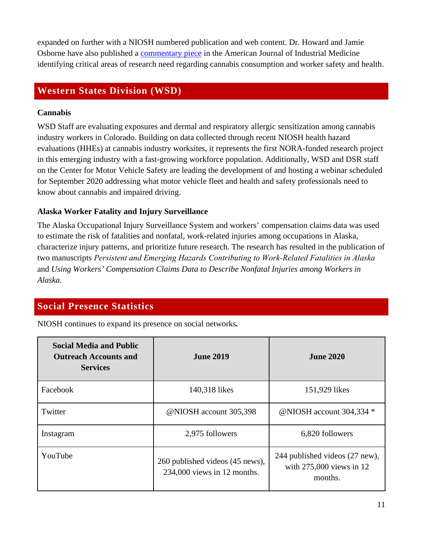expanded on further with a NIOSH numbered publication and web content. Dr. Howard and Jamie Osborne have also published a [commentary piece](https://onlinelibrary.wiley.com/doi/full/10.1002/ajim.23170) in the American Journal of Industrial Medicine identifying critical areas of research need regarding cannabis consumption and worker safety and health.

## **Western States Division (WSD)**

#### **Cannabis**

WSD Staff are evaluating exposures and dermal and respiratory allergic sensitization among cannabis industry workers in Colorado. Building on data collected through recent NIOSH health hazard evaluations (HHEs) at cannabis industry worksites, it represents the first NORA-funded research project in this emerging industry with a fast-growing workforce population. Additionally, WSD and DSR staff on the Center for Motor Vehicle Safety are leading the development of and hosting a webinar scheduled for September 2020 addressing what motor vehicle fleet and health and safety professionals need to know about cannabis and impaired driving.

## **Alaska Worker Fatality and Injury Surveillance**

The Alaska Occupational Injury Surveillance System and workers' compensation claims data was used to estimate the risk of fatalities and nonfatal, work-related injuries among occupations in Alaska, characterize injury patterns, and prioritize future research. The research has resulted in the publication of two manuscripts *Persistent and Emerging Hazards Contributing to Work‐Related Fatalities in Alaska* and *Using Workers' Compensation Claims Data to Describe Nonfatal Injuries among Workers in Alaska.* 

# **Social Presence Statistics**

NIOSH continues to expand its presence on social networks*.* 

| <b>Social Media and Public</b><br><b>Outreach Accounts and</b><br><b>Services</b> | <b>June 2019</b>                                               | <b>June 2020</b>                                                      |
|-----------------------------------------------------------------------------------|----------------------------------------------------------------|-----------------------------------------------------------------------|
| Facebook                                                                          | 140,318 likes                                                  | 151,929 likes                                                         |
| Twitter                                                                           | @NIOSH account 305,398                                         | @NIOSH account 304,334 *                                              |
| Instagram                                                                         | 2,975 followers                                                | 6,820 followers                                                       |
| YouTube                                                                           | 260 published videos (45 news),<br>234,000 views in 12 months. | 244 published videos (27 new),<br>with 275,000 views in 12<br>months. |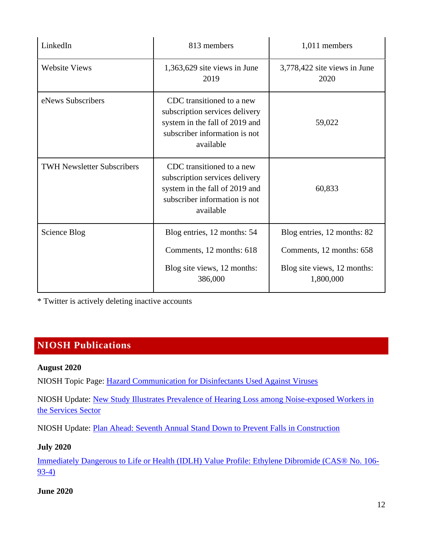| LinkedIn                          | 813 members                                                                                                                                 | 1,011 members                                                                                       |
|-----------------------------------|---------------------------------------------------------------------------------------------------------------------------------------------|-----------------------------------------------------------------------------------------------------|
| <b>Website Views</b>              | $1,363,629$ site views in June<br>2019                                                                                                      | 3,778,422 site views in June<br>2020                                                                |
| eNews Subscribers                 | CDC transitioned to a new<br>subscription services delivery<br>system in the fall of 2019 and<br>subscriber information is not<br>available | 59,022                                                                                              |
| <b>TWH Newsletter Subscribers</b> | CDC transitioned to a new<br>subscription services delivery<br>system in the fall of 2019 and<br>subscriber information is not<br>available | 60,833                                                                                              |
| Science Blog                      | Blog entries, 12 months: 54<br>Comments, 12 months: 618<br>Blog site views, 12 months:<br>386,000                                           | Blog entries, 12 months: 82<br>Comments, 12 months: 658<br>Blog site views, 12 months:<br>1,800,000 |

\* Twitter is actively deleting inactive accounts

# **NIOSH Publications**

#### **August 2020**

NIOSH Topic Page: [Hazard Communication for Disinfectants Used Against Viruses](https://www.cdc.gov/niosh/topics/disinfectant/default.html) 

NIOSH Update: [New Study Illustrates Prevalence of Hearing Loss among Noise-exposed Workers in](https://www.cdc.gov/niosh/updates/upd-08-04-20.html)  [the Services Sector](https://www.cdc.gov/niosh/updates/upd-08-04-20.html)

NIOSH Update: [Plan Ahead: Seventh Annual Stand Down to Prevent Falls in Construction](https://wwwdev.cdc.gov/niosh/updates/upd-08-13-20.html)

#### **July 2020**

[Immediately Dangerous to Life or Health \(IDLH\) Value Profile: Ethylene Dibromide \(CAS® No. 106-](https://www.cdc.gov/niosh/docs/2020-125/default.html#:%7E:text=Basis%20for%20IDLH%20Value%3A%20The%20immediately%20dangerous%20to,value%20for%20a%2030-minute%20exposure%20is%20456%20ppm.) [93-4\)](https://www.cdc.gov/niosh/docs/2020-125/default.html#:%7E:text=Basis%20for%20IDLH%20Value%3A%20The%20immediately%20dangerous%20to,value%20for%20a%2030-minute%20exposure%20is%20456%20ppm.)

#### **June 2020**